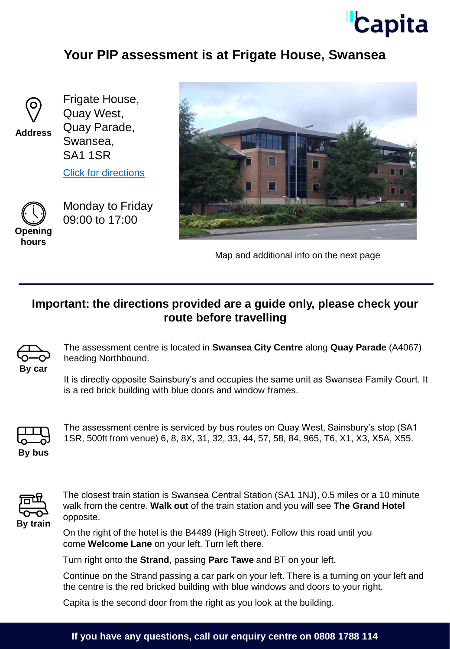# **Capita**

### **Your PIP assessment is at Frigate House, Swansea**



**Address**

Frigate House, Quay West, Quay Parade, Swansea, SA1 1SR

[Click for directions](https://goo.gl/maps/SwSdz7Tkq4Ea9vcH9)



Monday to Friday 09:00 to 17:00



Map and additional info on the next page

#### **Important: the directions provided are a guide only, please check your route before travelling**



The assessment centre is located in **Swansea City Centre** along **Quay Parade** (A4067) heading Northbound.

It is directly opposite Sainsbury's and occupies the same unit as Swansea Family Court. It is a red brick building with blue doors and window frames.



The assessment centre is serviced by bus routes on Quay West, Sainsbury's stop (SA1 1SR, 500ft from venue) 6, 8, 8X, 31, 32, 33, 44, 57, 58, 84, 965, T6, X1, X3, X5A, X55.



The closest train station is Swansea Central Station (SA1 1NJ), 0.5 miles or a 10 minute walk from the centre. **Walk out** of the train station and you will see **The Grand Hotel** opposite.

On the right of the hotel is the B4489 (High Street). Follow this road until you come **Welcome Lane** on your left. Turn left there.

Turn right onto the **Strand**, passing **Parc Tawe** and BT on your left.

Continue on the Strand passing a car park on your left. There is a turning on your left and the centre is the red bricked building with blue windows and doors to your right.

Capita is the second door from the right as you look at the building.